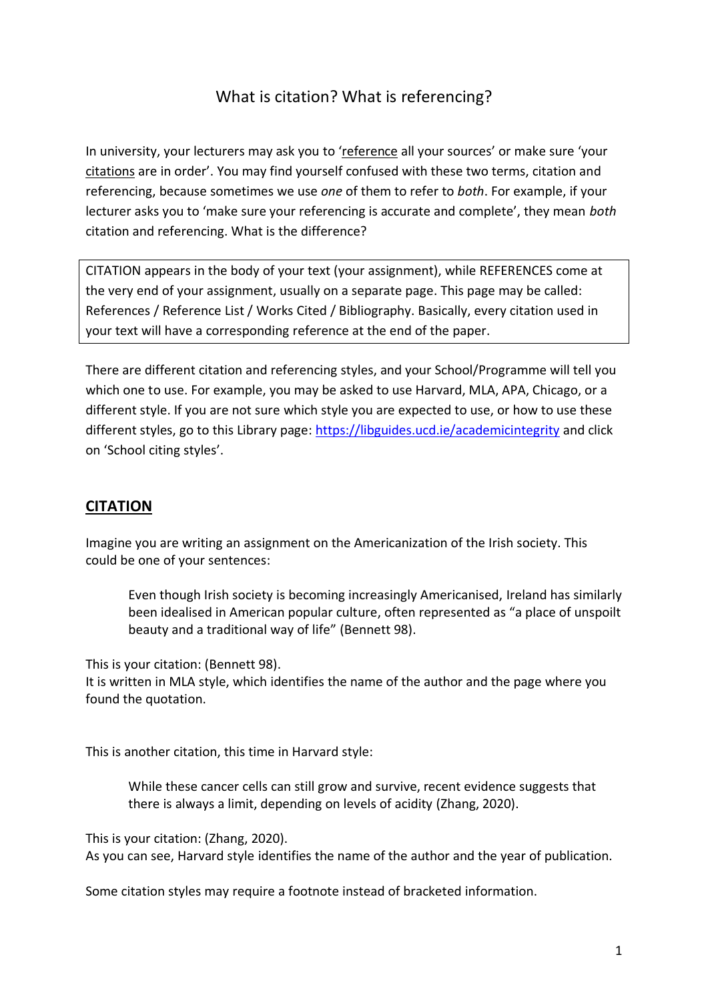## What is citation? What is referencing?

In university, your lecturers may ask you to 'reference all your sources' or make sure 'your citations are in order'. You may find yourself confused with these two terms, citation and referencing, because sometimes we use *one* of them to refer to *both*. For example, if your lecturer asks you to 'make sure your referencing is accurate and complete', they mean *both* citation and referencing. What is the difference?

CITATION appears in the body of your text (your assignment), while REFERENCES come at the very end of your assignment, usually on a separate page. This page may be called: References / Reference List / Works Cited / Bibliography. Basically, every citation used in your text will have a corresponding reference at the end of the paper.

There are different citation and referencing styles, and your School/Programme will tell you which one to use. For example, you may be asked to use Harvard, MLA, APA, Chicago, or a different style. If you are not sure which style you are expected to use, or how to use these different styles, go to this Library page:<https://libguides.ucd.ie/academicintegrity> and click on 'School citing styles'.

## **CITATION**

Imagine you are writing an assignment on the Americanization of the Irish society. This could be one of your sentences:

Even though Irish society is becoming increasingly Americanised, Ireland has similarly been idealised in American popular culture, often represented as "a place of unspoilt beauty and a traditional way of life" (Bennett 98).

This is your citation: (Bennett 98).

It is written in MLA style, which identifies the name of the author and the page where you found the quotation.

This is another citation, this time in Harvard style:

While these cancer cells can still grow and survive, recent evidence suggests that there is always a limit, depending on levels of acidity (Zhang, 2020).

This is your citation: (Zhang, 2020).

As you can see, Harvard style identifies the name of the author and the year of publication.

Some citation styles may require a footnote instead of bracketed information.